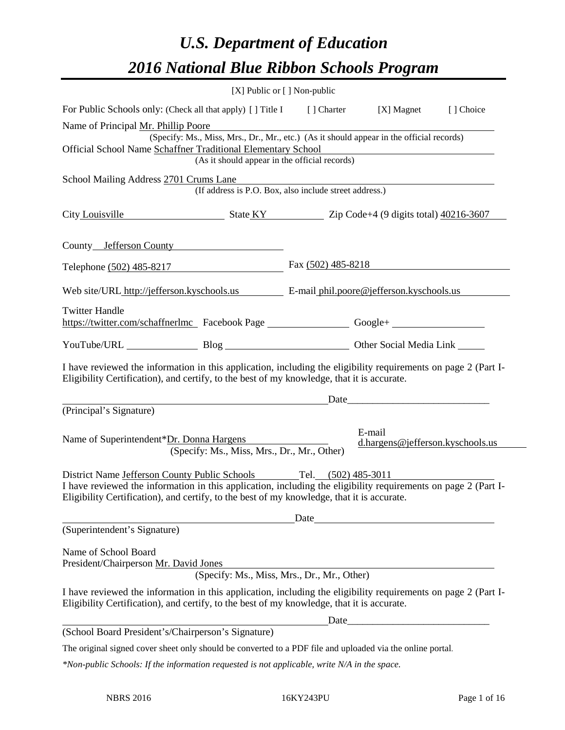# *U.S. Department of Education 2016 National Blue Ribbon Schools Program*

| [X] Public or [] Non-public                                                                                   |                                                                                                            |                                                                                                                                                                                                                                                                                                                                                                                                                                                                                                                                                                                                                                                                                                                                                                                                                                                                                                                                                                                                                                                                                                                                                                                                                                                                                                                                                                                                                                                   |
|---------------------------------------------------------------------------------------------------------------|------------------------------------------------------------------------------------------------------------|---------------------------------------------------------------------------------------------------------------------------------------------------------------------------------------------------------------------------------------------------------------------------------------------------------------------------------------------------------------------------------------------------------------------------------------------------------------------------------------------------------------------------------------------------------------------------------------------------------------------------------------------------------------------------------------------------------------------------------------------------------------------------------------------------------------------------------------------------------------------------------------------------------------------------------------------------------------------------------------------------------------------------------------------------------------------------------------------------------------------------------------------------------------------------------------------------------------------------------------------------------------------------------------------------------------------------------------------------------------------------------------------------------------------------------------------------|
|                                                                                                               |                                                                                                            |                                                                                                                                                                                                                                                                                                                                                                                                                                                                                                                                                                                                                                                                                                                                                                                                                                                                                                                                                                                                                                                                                                                                                                                                                                                                                                                                                                                                                                                   |
|                                                                                                               |                                                                                                            |                                                                                                                                                                                                                                                                                                                                                                                                                                                                                                                                                                                                                                                                                                                                                                                                                                                                                                                                                                                                                                                                                                                                                                                                                                                                                                                                                                                                                                                   |
| Official School Name Schaffner Traditional Elementary School<br>(As it should appear in the official records) |                                                                                                            |                                                                                                                                                                                                                                                                                                                                                                                                                                                                                                                                                                                                                                                                                                                                                                                                                                                                                                                                                                                                                                                                                                                                                                                                                                                                                                                                                                                                                                                   |
|                                                                                                               |                                                                                                            |                                                                                                                                                                                                                                                                                                                                                                                                                                                                                                                                                                                                                                                                                                                                                                                                                                                                                                                                                                                                                                                                                                                                                                                                                                                                                                                                                                                                                                                   |
|                                                                                                               |                                                                                                            |                                                                                                                                                                                                                                                                                                                                                                                                                                                                                                                                                                                                                                                                                                                                                                                                                                                                                                                                                                                                                                                                                                                                                                                                                                                                                                                                                                                                                                                   |
| County Jefferson County                                                                                       |                                                                                                            |                                                                                                                                                                                                                                                                                                                                                                                                                                                                                                                                                                                                                                                                                                                                                                                                                                                                                                                                                                                                                                                                                                                                                                                                                                                                                                                                                                                                                                                   |
|                                                                                                               |                                                                                                            |                                                                                                                                                                                                                                                                                                                                                                                                                                                                                                                                                                                                                                                                                                                                                                                                                                                                                                                                                                                                                                                                                                                                                                                                                                                                                                                                                                                                                                                   |
|                                                                                                               |                                                                                                            |                                                                                                                                                                                                                                                                                                                                                                                                                                                                                                                                                                                                                                                                                                                                                                                                                                                                                                                                                                                                                                                                                                                                                                                                                                                                                                                                                                                                                                                   |
|                                                                                                               |                                                                                                            |                                                                                                                                                                                                                                                                                                                                                                                                                                                                                                                                                                                                                                                                                                                                                                                                                                                                                                                                                                                                                                                                                                                                                                                                                                                                                                                                                                                                                                                   |
|                                                                                                               |                                                                                                            |                                                                                                                                                                                                                                                                                                                                                                                                                                                                                                                                                                                                                                                                                                                                                                                                                                                                                                                                                                                                                                                                                                                                                                                                                                                                                                                                                                                                                                                   |
|                                                                                                               |                                                                                                            |                                                                                                                                                                                                                                                                                                                                                                                                                                                                                                                                                                                                                                                                                                                                                                                                                                                                                                                                                                                                                                                                                                                                                                                                                                                                                                                                                                                                                                                   |
|                                                                                                               |                                                                                                            |                                                                                                                                                                                                                                                                                                                                                                                                                                                                                                                                                                                                                                                                                                                                                                                                                                                                                                                                                                                                                                                                                                                                                                                                                                                                                                                                                                                                                                                   |
| Name of Superintendent*Dr. Donna Hargens<br>(Specify: Ms., Miss, Mrs., Dr., Mr., Other)                       |                                                                                                            | d.hargens@jefferson.kyschools.us                                                                                                                                                                                                                                                                                                                                                                                                                                                                                                                                                                                                                                                                                                                                                                                                                                                                                                                                                                                                                                                                                                                                                                                                                                                                                                                                                                                                                  |
|                                                                                                               |                                                                                                            |                                                                                                                                                                                                                                                                                                                                                                                                                                                                                                                                                                                                                                                                                                                                                                                                                                                                                                                                                                                                                                                                                                                                                                                                                                                                                                                                                                                                                                                   |
|                                                                                                               |                                                                                                            |                                                                                                                                                                                                                                                                                                                                                                                                                                                                                                                                                                                                                                                                                                                                                                                                                                                                                                                                                                                                                                                                                                                                                                                                                                                                                                                                                                                                                                                   |
|                                                                                                               |                                                                                                            |                                                                                                                                                                                                                                                                                                                                                                                                                                                                                                                                                                                                                                                                                                                                                                                                                                                                                                                                                                                                                                                                                                                                                                                                                                                                                                                                                                                                                                                   |
|                                                                                                               |                                                                                                            |                                                                                                                                                                                                                                                                                                                                                                                                                                                                                                                                                                                                                                                                                                                                                                                                                                                                                                                                                                                                                                                                                                                                                                                                                                                                                                                                                                                                                                                   |
|                                                                                                               |                                                                                                            |                                                                                                                                                                                                                                                                                                                                                                                                                                                                                                                                                                                                                                                                                                                                                                                                                                                                                                                                                                                                                                                                                                                                                                                                                                                                                                                                                                                                                                                   |
|                                                                                                               |                                                                                                            |                                                                                                                                                                                                                                                                                                                                                                                                                                                                                                                                                                                                                                                                                                                                                                                                                                                                                                                                                                                                                                                                                                                                                                                                                                                                                                                                                                                                                                                   |
|                                                                                                               |                                                                                                            |                                                                                                                                                                                                                                                                                                                                                                                                                                                                                                                                                                                                                                                                                                                                                                                                                                                                                                                                                                                                                                                                                                                                                                                                                                                                                                                                                                                                                                                   |
|                                                                                                               |                                                                                                            |                                                                                                                                                                                                                                                                                                                                                                                                                                                                                                                                                                                                                                                                                                                                                                                                                                                                                                                                                                                                                                                                                                                                                                                                                                                                                                                                                                                                                                                   |
|                                                                                                               |                                                                                                            |                                                                                                                                                                                                                                                                                                                                                                                                                                                                                                                                                                                                                                                                                                                                                                                                                                                                                                                                                                                                                                                                                                                                                                                                                                                                                                                                                                                                                                                   |
|                                                                                                               | The original signed cover sheet only should be converted to a PDF file and uploaded via the online portal. |                                                                                                                                                                                                                                                                                                                                                                                                                                                                                                                                                                                                                                                                                                                                                                                                                                                                                                                                                                                                                                                                                                                                                                                                                                                                                                                                                                                                                                                   |
|                                                                                                               |                                                                                                            | For Public Schools only: (Check all that apply) [ ] Title I [ ] Charter [X] Magnet [ ] Choice<br>(Specify: Ms., Miss, Mrs., Dr., Mr., etc.) (As it should appear in the official records)<br>School Mailing Address 2701 Crums Lane<br>(If address is P.O. Box, also include street address.)<br>City Louisville State KY Zip Code+4 (9 digits total) 40216-3607<br>Telephone (502) 485-8217 Fax (502) 485-8218<br>Web site/URL http://jefferson.kyschools.us E-mail phil.poore@jefferson.kyschools.us<br>https://twitter.com/schaffnerlmc Facebook Page Google+<br>YouTube/URL Blog Blog Cher Social Media Link<br>I have reviewed the information in this application, including the eligibility requirements on page 2 (Part I-<br>Eligibility Certification), and certify, to the best of my knowledge, that it is accurate.<br><u>Date</u> <u>Date</u> <u>Date</u> <u>Date</u><br>E-mail<br>District Name Jefferson County Public Schools Tel. (502) 485-3011<br>I have reviewed the information in this application, including the eligibility requirements on page 2 (Part I-<br>Eligibility Certification), and certify, to the best of my knowledge, that it is accurate.<br>(Specify: Ms., Miss, Mrs., Dr., Mr., Other)<br>I have reviewed the information in this application, including the eligibility requirements on page 2 (Part I-<br>Eligibility Certification), and certify, to the best of my knowledge, that it is accurate. |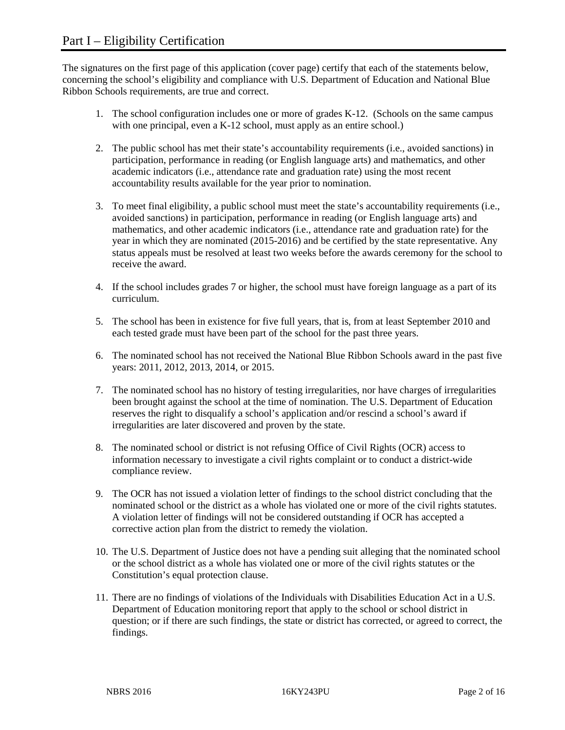The signatures on the first page of this application (cover page) certify that each of the statements below, concerning the school's eligibility and compliance with U.S. Department of Education and National Blue Ribbon Schools requirements, are true and correct.

- 1. The school configuration includes one or more of grades K-12. (Schools on the same campus with one principal, even a K-12 school, must apply as an entire school.)
- 2. The public school has met their state's accountability requirements (i.e., avoided sanctions) in participation, performance in reading (or English language arts) and mathematics, and other academic indicators (i.e., attendance rate and graduation rate) using the most recent accountability results available for the year prior to nomination.
- 3. To meet final eligibility, a public school must meet the state's accountability requirements (i.e., avoided sanctions) in participation, performance in reading (or English language arts) and mathematics, and other academic indicators (i.e., attendance rate and graduation rate) for the year in which they are nominated (2015-2016) and be certified by the state representative. Any status appeals must be resolved at least two weeks before the awards ceremony for the school to receive the award.
- 4. If the school includes grades 7 or higher, the school must have foreign language as a part of its curriculum.
- 5. The school has been in existence for five full years, that is, from at least September 2010 and each tested grade must have been part of the school for the past three years.
- 6. The nominated school has not received the National Blue Ribbon Schools award in the past five years: 2011, 2012, 2013, 2014, or 2015.
- 7. The nominated school has no history of testing irregularities, nor have charges of irregularities been brought against the school at the time of nomination. The U.S. Department of Education reserves the right to disqualify a school's application and/or rescind a school's award if irregularities are later discovered and proven by the state.
- 8. The nominated school or district is not refusing Office of Civil Rights (OCR) access to information necessary to investigate a civil rights complaint or to conduct a district-wide compliance review.
- 9. The OCR has not issued a violation letter of findings to the school district concluding that the nominated school or the district as a whole has violated one or more of the civil rights statutes. A violation letter of findings will not be considered outstanding if OCR has accepted a corrective action plan from the district to remedy the violation.
- 10. The U.S. Department of Justice does not have a pending suit alleging that the nominated school or the school district as a whole has violated one or more of the civil rights statutes or the Constitution's equal protection clause.
- 11. There are no findings of violations of the Individuals with Disabilities Education Act in a U.S. Department of Education monitoring report that apply to the school or school district in question; or if there are such findings, the state or district has corrected, or agreed to correct, the findings.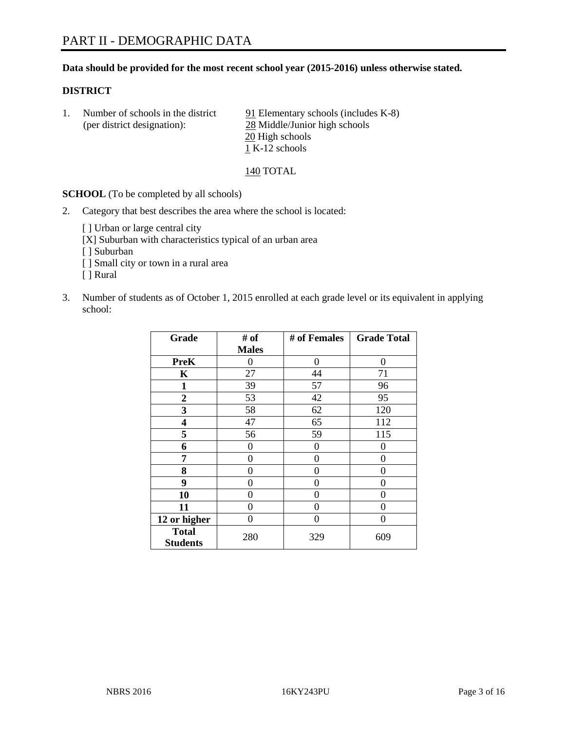# **Data should be provided for the most recent school year (2015-2016) unless otherwise stated.**

# **DISTRICT**

1. Number of schools in the district  $91$  Elementary schools (includes K-8) (per district designation): 28 Middle/Junior high schools 20 High schools  $\overline{1}$  K-12 schools

# 140 TOTAL

**SCHOOL** (To be completed by all schools)

- 2. Category that best describes the area where the school is located:
	- [] Urban or large central city [X] Suburban with characteristics typical of an urban area [ ] Suburban [ ] Small city or town in a rural area [ ] Rural
- 3. Number of students as of October 1, 2015 enrolled at each grade level or its equivalent in applying school:

| Grade                           | # of         | # of Females | <b>Grade Total</b> |
|---------------------------------|--------------|--------------|--------------------|
|                                 | <b>Males</b> |              |                    |
| <b>PreK</b>                     | 0            | 0            | 0                  |
| K                               | 27           | 44           | 71                 |
| 1                               | 39           | 57           | 96                 |
| 2                               | 53           | 42           | 95                 |
| 3                               | 58           | 62           | 120                |
| 4                               | 47           | 65           | 112                |
| 5                               | 56           | 59           | 115                |
| 6                               | 0            | 0            | 0                  |
| 7                               | 0            | 0            | 0                  |
| 8                               | 0            | 0            | 0                  |
| 9                               | 0            | 0            | 0                  |
| 10                              | 0            | 0            | 0                  |
| 11                              | 0            | 0            | 0                  |
| 12 or higher                    | 0            | 0            | 0                  |
| <b>Total</b><br><b>Students</b> | 280          | 329          | 609                |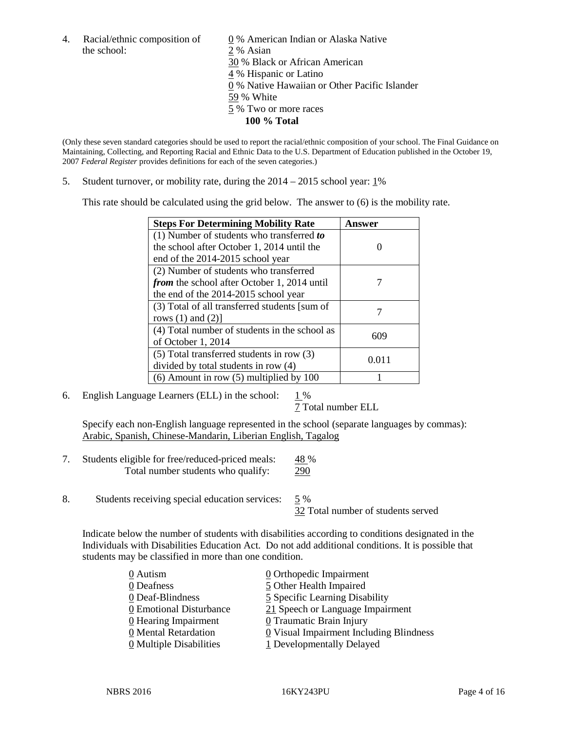the school: 2 % Asian

4. Racial/ethnic composition of  $\qquad \qquad \underline{0}$  % American Indian or Alaska Native 30 % Black or African American 4 % Hispanic or Latino 0 % Native Hawaiian or Other Pacific Islander 59 % White 5 % Two or more races **100 % Total**

(Only these seven standard categories should be used to report the racial/ethnic composition of your school. The Final Guidance on Maintaining, Collecting, and Reporting Racial and Ethnic Data to the U.S. Department of Education published in the October 19, 2007 *Federal Register* provides definitions for each of the seven categories.)

5. Student turnover, or mobility rate, during the  $2014 - 2015$  school year:  $1\%$ 

This rate should be calculated using the grid below. The answer to (6) is the mobility rate.

| <b>Steps For Determining Mobility Rate</b>         | Answer |  |
|----------------------------------------------------|--------|--|
| (1) Number of students who transferred to          |        |  |
| the school after October 1, 2014 until the         |        |  |
| end of the 2014-2015 school year                   |        |  |
| (2) Number of students who transferred             |        |  |
| <i>from</i> the school after October 1, 2014 until |        |  |
| the end of the 2014-2015 school year               |        |  |
| (3) Total of all transferred students [sum of      |        |  |
| rows $(1)$ and $(2)$ ]                             |        |  |
| (4) Total number of students in the school as      | 609    |  |
| of October 1, 2014                                 |        |  |
| (5) Total transferred students in row (3)          | 0.011  |  |
| divided by total students in row (4)               |        |  |
| $(6)$ Amount in row $(5)$ multiplied by 100        |        |  |

6. English Language Learners (ELL) in the school:  $1\%$ 

7 Total number ELL

Specify each non-English language represented in the school (separate languages by commas): Arabic, Spanish, Chinese-Mandarin, Liberian English, Tagalog

- 7. Students eligible for free/reduced-priced meals: 48 % Total number students who qualify: 290
- 8. Students receiving special education services: 5 %

32 Total number of students served

Indicate below the number of students with disabilities according to conditions designated in the Individuals with Disabilities Education Act. Do not add additional conditions. It is possible that students may be classified in more than one condition.

| 0 Autism                              | 0 Orthopedic Impairment                 |
|---------------------------------------|-----------------------------------------|
| 0 Deafness                            | 5 Other Health Impaired                 |
| 0 Deaf-Blindness                      | 5 Specific Learning Disability          |
| 0 Emotional Disturbance               | 21 Speech or Language Impairment        |
| 0 Hearing Impairment                  | 0 Traumatic Brain Injury                |
| 0 Mental Retardation                  | 0 Visual Impairment Including Blindness |
| $\underline{0}$ Multiple Disabilities | 1 Developmentally Delayed               |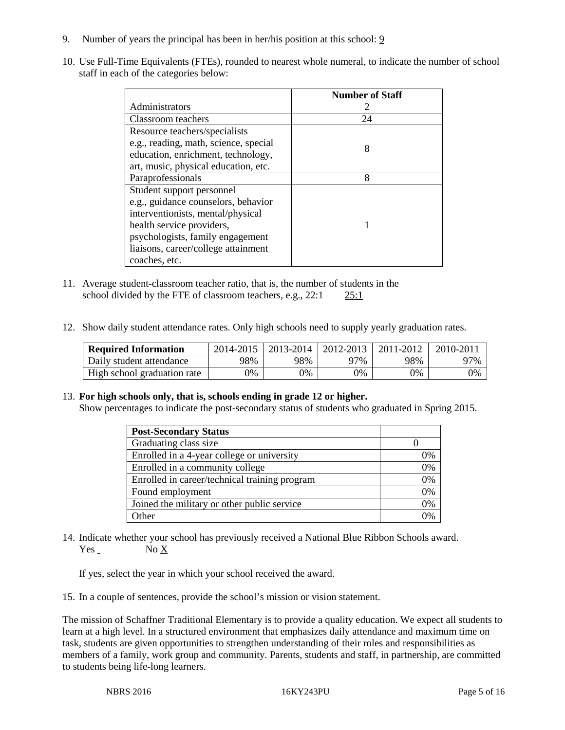- 9. Number of years the principal has been in her/his position at this school: 9
- 10. Use Full-Time Equivalents (FTEs), rounded to nearest whole numeral, to indicate the number of school staff in each of the categories below:

|                                       | <b>Number of Staff</b> |
|---------------------------------------|------------------------|
| Administrators                        |                        |
| Classroom teachers                    | 24                     |
| Resource teachers/specialists         |                        |
| e.g., reading, math, science, special | 8                      |
| education, enrichment, technology,    |                        |
| art, music, physical education, etc.  |                        |
| Paraprofessionals                     | 8                      |
| Student support personnel             |                        |
| e.g., guidance counselors, behavior   |                        |
| interventionists, mental/physical     |                        |
| health service providers,             |                        |
| psychologists, family engagement      |                        |
| liaisons, career/college attainment   |                        |
| coaches, etc.                         |                        |

- 11. Average student-classroom teacher ratio, that is, the number of students in the school divided by the FTE of classroom teachers, e.g., 22:1 25:1
- 12. Show daily student attendance rates. Only high schools need to supply yearly graduation rates.

| <b>Required Information</b> | 2014-2015 | 2013-2014 | 2012-2013 | 2011-2012 | 2010-2011 |
|-----------------------------|-----------|-----------|-----------|-----------|-----------|
| Daily student attendance    | 98%       | 98%       | 97%       | 98%       | 97%       |
| High school graduation rate | 9%        | 0%        | 0%        | 9%        | 0%        |

# 13. **For high schools only, that is, schools ending in grade 12 or higher.**

Show percentages to indicate the post-secondary status of students who graduated in Spring 2015.

| <b>Post-Secondary Status</b>                  |    |
|-----------------------------------------------|----|
| Graduating class size                         |    |
| Enrolled in a 4-year college or university    | 0% |
| Enrolled in a community college               | 0% |
| Enrolled in career/technical training program | 0% |
| Found employment                              | 0% |
| Joined the military or other public service   | 0% |
| Other                                         | 0/ |

14. Indicate whether your school has previously received a National Blue Ribbon Schools award. Yes No X

If yes, select the year in which your school received the award.

15. In a couple of sentences, provide the school's mission or vision statement.

The mission of Schaffner Traditional Elementary is to provide a quality education. We expect all students to learn at a high level. In a structured environment that emphasizes daily attendance and maximum time on task, students are given opportunities to strengthen understanding of their roles and responsibilities as members of a family, work group and community. Parents, students and staff, in partnership, are committed to students being life-long learners.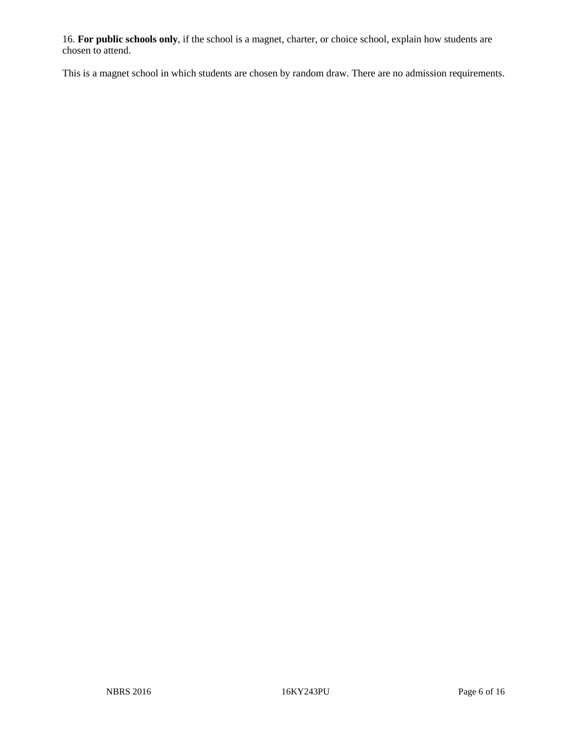16. **For public schools only**, if the school is a magnet, charter, or choice school, explain how students are chosen to attend.

This is a magnet school in which students are chosen by random draw. There are no admission requirements.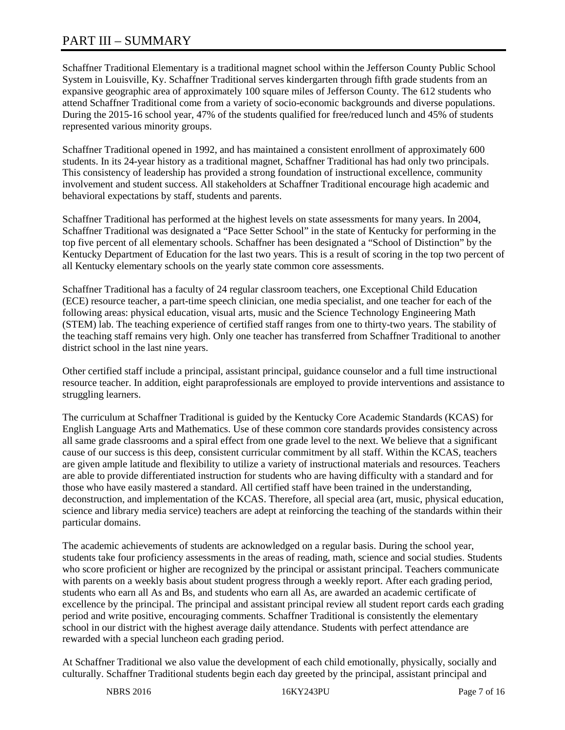# PART III – SUMMARY

Schaffner Traditional Elementary is a traditional magnet school within the Jefferson County Public School System in Louisville, Ky. Schaffner Traditional serves kindergarten through fifth grade students from an expansive geographic area of approximately 100 square miles of Jefferson County. The 612 students who attend Schaffner Traditional come from a variety of socio-economic backgrounds and diverse populations. During the 2015-16 school year, 47% of the students qualified for free/reduced lunch and 45% of students represented various minority groups.

Schaffner Traditional opened in 1992, and has maintained a consistent enrollment of approximately 600 students. In its 24-year history as a traditional magnet, Schaffner Traditional has had only two principals. This consistency of leadership has provided a strong foundation of instructional excellence, community involvement and student success. All stakeholders at Schaffner Traditional encourage high academic and behavioral expectations by staff, students and parents.

Schaffner Traditional has performed at the highest levels on state assessments for many years. In 2004, Schaffner Traditional was designated a "Pace Setter School" in the state of Kentucky for performing in the top five percent of all elementary schools. Schaffner has been designated a "School of Distinction" by the Kentucky Department of Education for the last two years. This is a result of scoring in the top two percent of all Kentucky elementary schools on the yearly state common core assessments.

Schaffner Traditional has a faculty of 24 regular classroom teachers, one Exceptional Child Education (ECE) resource teacher, a part-time speech clinician, one media specialist, and one teacher for each of the following areas: physical education, visual arts, music and the Science Technology Engineering Math (STEM) lab. The teaching experience of certified staff ranges from one to thirty-two years. The stability of the teaching staff remains very high. Only one teacher has transferred from Schaffner Traditional to another district school in the last nine years.

Other certified staff include a principal, assistant principal, guidance counselor and a full time instructional resource teacher. In addition, eight paraprofessionals are employed to provide interventions and assistance to struggling learners.

The curriculum at Schaffner Traditional is guided by the Kentucky Core Academic Standards (KCAS) for English Language Arts and Mathematics. Use of these common core standards provides consistency across all same grade classrooms and a spiral effect from one grade level to the next. We believe that a significant cause of our success is this deep, consistent curricular commitment by all staff. Within the KCAS, teachers are given ample latitude and flexibility to utilize a variety of instructional materials and resources. Teachers are able to provide differentiated instruction for students who are having difficulty with a standard and for those who have easily mastered a standard. All certified staff have been trained in the understanding, deconstruction, and implementation of the KCAS. Therefore, all special area (art, music, physical education, science and library media service) teachers are adept at reinforcing the teaching of the standards within their particular domains.

The academic achievements of students are acknowledged on a regular basis. During the school year, students take four proficiency assessments in the areas of reading, math, science and social studies. Students who score proficient or higher are recognized by the principal or assistant principal. Teachers communicate with parents on a weekly basis about student progress through a weekly report. After each grading period, students who earn all As and Bs, and students who earn all As, are awarded an academic certificate of excellence by the principal. The principal and assistant principal review all student report cards each grading period and write positive, encouraging comments. Schaffner Traditional is consistently the elementary school in our district with the highest average daily attendance. Students with perfect attendance are rewarded with a special luncheon each grading period.

At Schaffner Traditional we also value the development of each child emotionally, physically, socially and culturally. Schaffner Traditional students begin each day greeted by the principal, assistant principal and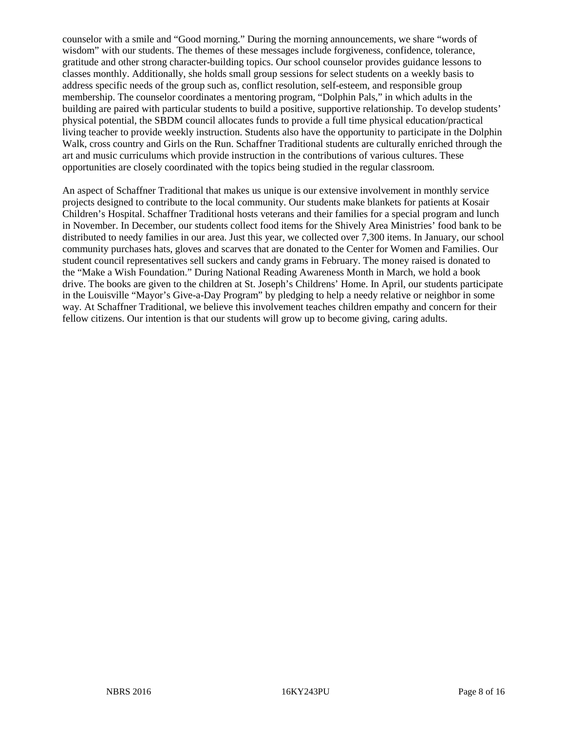counselor with a smile and "Good morning." During the morning announcements, we share "words of wisdom" with our students. The themes of these messages include forgiveness, confidence, tolerance, gratitude and other strong character-building topics. Our school counselor provides guidance lessons to classes monthly. Additionally, she holds small group sessions for select students on a weekly basis to address specific needs of the group such as, conflict resolution, self-esteem, and responsible group membership. The counselor coordinates a mentoring program, "Dolphin Pals," in which adults in the building are paired with particular students to build a positive, supportive relationship. To develop students' physical potential, the SBDM council allocates funds to provide a full time physical education/practical living teacher to provide weekly instruction. Students also have the opportunity to participate in the Dolphin Walk, cross country and Girls on the Run. Schaffner Traditional students are culturally enriched through the art and music curriculums which provide instruction in the contributions of various cultures. These opportunities are closely coordinated with the topics being studied in the regular classroom.

An aspect of Schaffner Traditional that makes us unique is our extensive involvement in monthly service projects designed to contribute to the local community. Our students make blankets for patients at Kosair Children's Hospital. Schaffner Traditional hosts veterans and their families for a special program and lunch in November. In December, our students collect food items for the Shively Area Ministries' food bank to be distributed to needy families in our area. Just this year, we collected over 7,300 items. In January, our school community purchases hats, gloves and scarves that are donated to the Center for Women and Families. Our student council representatives sell suckers and candy grams in February. The money raised is donated to the "Make a Wish Foundation." During National Reading Awareness Month in March, we hold a book drive. The books are given to the children at St. Joseph's Childrens' Home. In April, our students participate in the Louisville "Mayor's Give-a-Day Program" by pledging to help a needy relative or neighbor in some way. At Schaffner Traditional, we believe this involvement teaches children empathy and concern for their fellow citizens. Our intention is that our students will grow up to become giving, caring adults.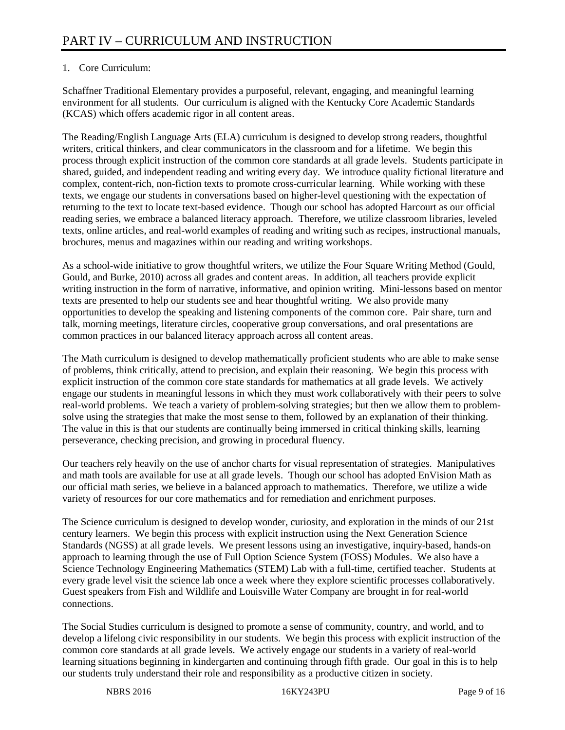# 1. Core Curriculum:

Schaffner Traditional Elementary provides a purposeful, relevant, engaging, and meaningful learning environment for all students. Our curriculum is aligned with the Kentucky Core Academic Standards (KCAS) which offers academic rigor in all content areas.

The Reading/English Language Arts (ELA) curriculum is designed to develop strong readers, thoughtful writers, critical thinkers, and clear communicators in the classroom and for a lifetime. We begin this process through explicit instruction of the common core standards at all grade levels. Students participate in shared, guided, and independent reading and writing every day. We introduce quality fictional literature and complex, content-rich, non-fiction texts to promote cross-curricular learning. While working with these texts, we engage our students in conversations based on higher-level questioning with the expectation of returning to the text to locate text-based evidence. Though our school has adopted Harcourt as our official reading series, we embrace a balanced literacy approach. Therefore, we utilize classroom libraries, leveled texts, online articles, and real-world examples of reading and writing such as recipes, instructional manuals, brochures, menus and magazines within our reading and writing workshops.

As a school-wide initiative to grow thoughtful writers, we utilize the Four Square Writing Method (Gould, Gould, and Burke, 2010) across all grades and content areas. In addition, all teachers provide explicit writing instruction in the form of narrative, informative, and opinion writing. Mini-lessons based on mentor texts are presented to help our students see and hear thoughtful writing. We also provide many opportunities to develop the speaking and listening components of the common core. Pair share, turn and talk, morning meetings, literature circles, cooperative group conversations, and oral presentations are common practices in our balanced literacy approach across all content areas.

The Math curriculum is designed to develop mathematically proficient students who are able to make sense of problems, think critically, attend to precision, and explain their reasoning. We begin this process with explicit instruction of the common core state standards for mathematics at all grade levels. We actively engage our students in meaningful lessons in which they must work collaboratively with their peers to solve real-world problems. We teach a variety of problem-solving strategies; but then we allow them to problemsolve using the strategies that make the most sense to them, followed by an explanation of their thinking. The value in this is that our students are continually being immersed in critical thinking skills, learning perseverance, checking precision, and growing in procedural fluency.

Our teachers rely heavily on the use of anchor charts for visual representation of strategies. Manipulatives and math tools are available for use at all grade levels. Though our school has adopted EnVision Math as our official math series, we believe in a balanced approach to mathematics. Therefore, we utilize a wide variety of resources for our core mathematics and for remediation and enrichment purposes.

The Science curriculum is designed to develop wonder, curiosity, and exploration in the minds of our 21st century learners. We begin this process with explicit instruction using the Next Generation Science Standards (NGSS) at all grade levels. We present lessons using an investigative, inquiry-based, hands-on approach to learning through the use of Full Option Science System (FOSS) Modules. We also have a Science Technology Engineering Mathematics (STEM) Lab with a full-time, certified teacher. Students at every grade level visit the science lab once a week where they explore scientific processes collaboratively. Guest speakers from Fish and Wildlife and Louisville Water Company are brought in for real-world connections.

The Social Studies curriculum is designed to promote a sense of community, country, and world, and to develop a lifelong civic responsibility in our students. We begin this process with explicit instruction of the common core standards at all grade levels. We actively engage our students in a variety of real-world learning situations beginning in kindergarten and continuing through fifth grade. Our goal in this is to help our students truly understand their role and responsibility as a productive citizen in society.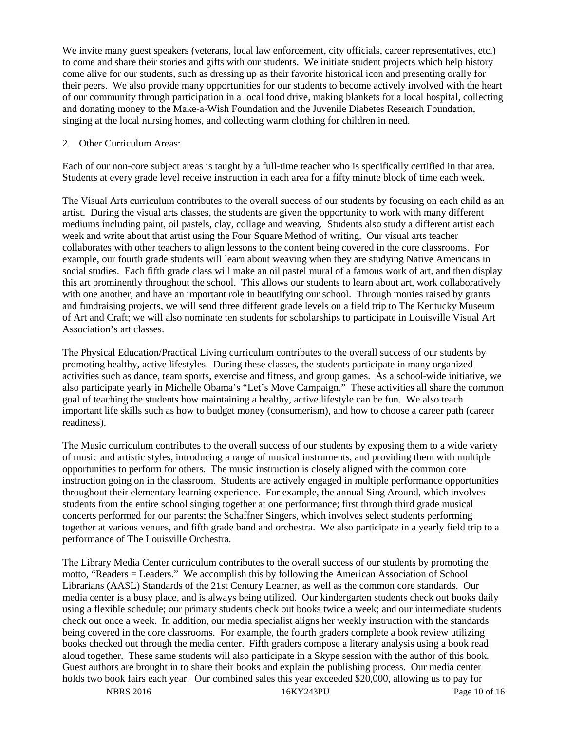We invite many guest speakers (veterans, local law enforcement, city officials, career representatives, etc.) to come and share their stories and gifts with our students. We initiate student projects which help history come alive for our students, such as dressing up as their favorite historical icon and presenting orally for their peers. We also provide many opportunities for our students to become actively involved with the heart of our community through participation in a local food drive, making blankets for a local hospital, collecting and donating money to the Make-a-Wish Foundation and the Juvenile Diabetes Research Foundation, singing at the local nursing homes, and collecting warm clothing for children in need.

#### 2. Other Curriculum Areas:

Each of our non-core subject areas is taught by a full-time teacher who is specifically certified in that area. Students at every grade level receive instruction in each area for a fifty minute block of time each week.

The Visual Arts curriculum contributes to the overall success of our students by focusing on each child as an artist. During the visual arts classes, the students are given the opportunity to work with many different mediums including paint, oil pastels, clay, collage and weaving. Students also study a different artist each week and write about that artist using the Four Square Method of writing. Our visual arts teacher collaborates with other teachers to align lessons to the content being covered in the core classrooms. For example, our fourth grade students will learn about weaving when they are studying Native Americans in social studies. Each fifth grade class will make an oil pastel mural of a famous work of art, and then display this art prominently throughout the school. This allows our students to learn about art, work collaboratively with one another, and have an important role in beautifying our school. Through monies raised by grants and fundraising projects, we will send three different grade levels on a field trip to The Kentucky Museum of Art and Craft; we will also nominate ten students for scholarships to participate in Louisville Visual Art Association's art classes.

The Physical Education/Practical Living curriculum contributes to the overall success of our students by promoting healthy, active lifestyles. During these classes, the students participate in many organized activities such as dance, team sports, exercise and fitness, and group games. As a school-wide initiative, we also participate yearly in Michelle Obama's "Let's Move Campaign." These activities all share the common goal of teaching the students how maintaining a healthy, active lifestyle can be fun. We also teach important life skills such as how to budget money (consumerism), and how to choose a career path (career readiness).

The Music curriculum contributes to the overall success of our students by exposing them to a wide variety of music and artistic styles, introducing a range of musical instruments, and providing them with multiple opportunities to perform for others. The music instruction is closely aligned with the common core instruction going on in the classroom. Students are actively engaged in multiple performance opportunities throughout their elementary learning experience. For example, the annual Sing Around, which involves students from the entire school singing together at one performance; first through third grade musical concerts performed for our parents; the Schaffner Singers, which involves select students performing together at various venues, and fifth grade band and orchestra. We also participate in a yearly field trip to a performance of The Louisville Orchestra.

The Library Media Center curriculum contributes to the overall success of our students by promoting the motto, "Readers = Leaders." We accomplish this by following the American Association of School Librarians (AASL) Standards of the 21st Century Learner, as well as the common core standards. Our media center is a busy place, and is always being utilized. Our kindergarten students check out books daily using a flexible schedule; our primary students check out books twice a week; and our intermediate students check out once a week. In addition, our media specialist aligns her weekly instruction with the standards being covered in the core classrooms. For example, the fourth graders complete a book review utilizing books checked out through the media center. Fifth graders compose a literary analysis using a book read aloud together. These same students will also participate in a Skype session with the author of this book. Guest authors are brought in to share their books and explain the publishing process. Our media center holds two book fairs each year. Our combined sales this year exceeded \$20,000, allowing us to pay for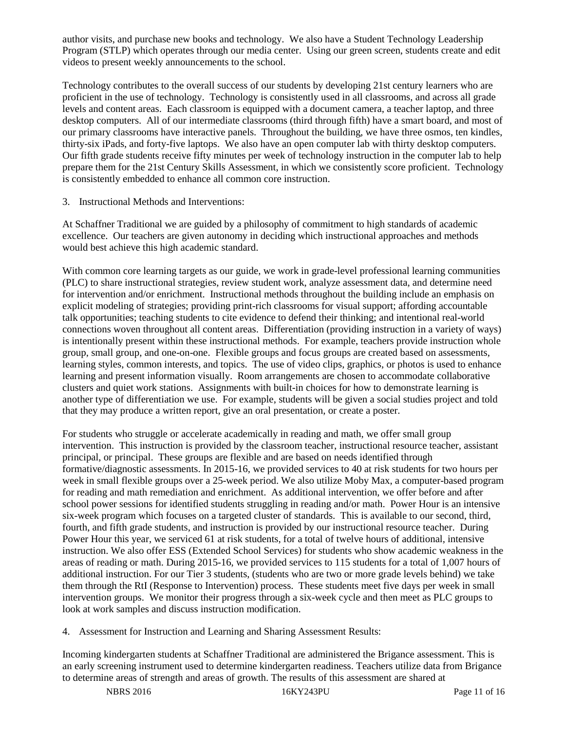author visits, and purchase new books and technology. We also have a Student Technology Leadership Program (STLP) which operates through our media center. Using our green screen, students create and edit videos to present weekly announcements to the school.

Technology contributes to the overall success of our students by developing 21st century learners who are proficient in the use of technology. Technology is consistently used in all classrooms, and across all grade levels and content areas. Each classroom is equipped with a document camera, a teacher laptop, and three desktop computers. All of our intermediate classrooms (third through fifth) have a smart board, and most of our primary classrooms have interactive panels. Throughout the building, we have three osmos, ten kindles, thirty-six iPads, and forty-five laptops. We also have an open computer lab with thirty desktop computers. Our fifth grade students receive fifty minutes per week of technology instruction in the computer lab to help prepare them for the 21st Century Skills Assessment, in which we consistently score proficient. Technology is consistently embedded to enhance all common core instruction.

3. Instructional Methods and Interventions:

At Schaffner Traditional we are guided by a philosophy of commitment to high standards of academic excellence. Our teachers are given autonomy in deciding which instructional approaches and methods would best achieve this high academic standard.

With common core learning targets as our guide, we work in grade-level professional learning communities (PLC) to share instructional strategies, review student work, analyze assessment data, and determine need for intervention and/or enrichment. Instructional methods throughout the building include an emphasis on explicit modeling of strategies; providing print-rich classrooms for visual support; affording accountable talk opportunities; teaching students to cite evidence to defend their thinking; and intentional real-world connections woven throughout all content areas. Differentiation (providing instruction in a variety of ways) is intentionally present within these instructional methods. For example, teachers provide instruction whole group, small group, and one-on-one. Flexible groups and focus groups are created based on assessments, learning styles, common interests, and topics. The use of video clips, graphics, or photos is used to enhance learning and present information visually. Room arrangements are chosen to accommodate collaborative clusters and quiet work stations. Assignments with built-in choices for how to demonstrate learning is another type of differentiation we use. For example, students will be given a social studies project and told that they may produce a written report, give an oral presentation, or create a poster.

For students who struggle or accelerate academically in reading and math, we offer small group intervention. This instruction is provided by the classroom teacher, instructional resource teacher, assistant principal, or principal. These groups are flexible and are based on needs identified through formative/diagnostic assessments. In 2015-16, we provided services to 40 at risk students for two hours per week in small flexible groups over a 25-week period. We also utilize Moby Max, a computer-based program for reading and math remediation and enrichment. As additional intervention, we offer before and after school power sessions for identified students struggling in reading and/or math. Power Hour is an intensive six-week program which focuses on a targeted cluster of standards. This is available to our second, third, fourth, and fifth grade students, and instruction is provided by our instructional resource teacher. During Power Hour this year, we serviced 61 at risk students, for a total of twelve hours of additional, intensive instruction. We also offer ESS (Extended School Services) for students who show academic weakness in the areas of reading or math. During 2015-16, we provided services to 115 students for a total of 1,007 hours of additional instruction. For our Tier 3 students, (students who are two or more grade levels behind) we take them through the RtI (Response to Intervention) process. These students meet five days per week in small intervention groups. We monitor their progress through a six-week cycle and then meet as PLC groups to look at work samples and discuss instruction modification.

4. Assessment for Instruction and Learning and Sharing Assessment Results:

Incoming kindergarten students at Schaffner Traditional are administered the Brigance assessment. This is an early screening instrument used to determine kindergarten readiness. Teachers utilize data from Brigance to determine areas of strength and areas of growth. The results of this assessment are shared at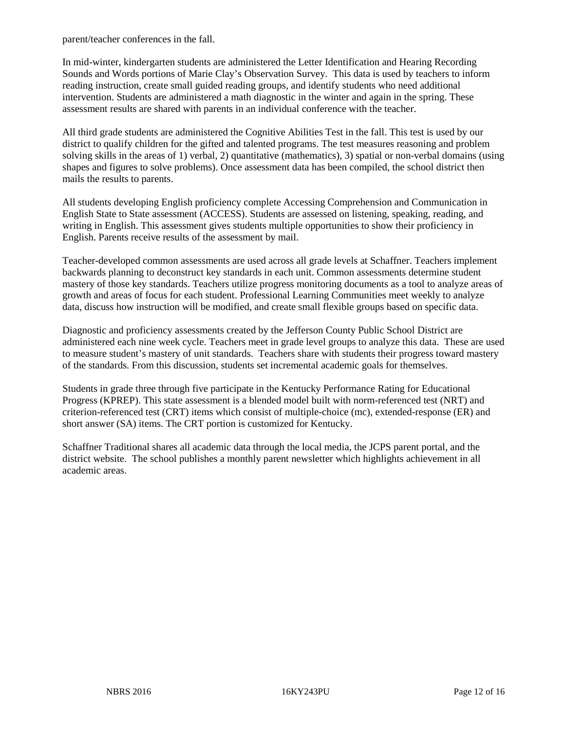parent/teacher conferences in the fall.

In mid-winter, kindergarten students are administered the Letter Identification and Hearing Recording Sounds and Words portions of Marie Clay's Observation Survey. This data is used by teachers to inform reading instruction, create small guided reading groups, and identify students who need additional intervention. Students are administered a math diagnostic in the winter and again in the spring. These assessment results are shared with parents in an individual conference with the teacher.

All third grade students are administered the Cognitive Abilities Test in the fall. This test is used by our district to qualify children for the gifted and talented programs. The test measures reasoning and problem solving skills in the areas of 1) verbal, 2) quantitative (mathematics), 3) spatial or non-verbal domains (using shapes and figures to solve problems). Once assessment data has been compiled, the school district then mails the results to parents.

All students developing English proficiency complete Accessing Comprehension and Communication in English State to State assessment (ACCESS). Students are assessed on listening, speaking, reading, and writing in English. This assessment gives students multiple opportunities to show their proficiency in English. Parents receive results of the assessment by mail.

Teacher-developed common assessments are used across all grade levels at Schaffner. Teachers implement backwards planning to deconstruct key standards in each unit. Common assessments determine student mastery of those key standards. Teachers utilize progress monitoring documents as a tool to analyze areas of growth and areas of focus for each student. Professional Learning Communities meet weekly to analyze data, discuss how instruction will be modified, and create small flexible groups based on specific data.

Diagnostic and proficiency assessments created by the Jefferson County Public School District are administered each nine week cycle. Teachers meet in grade level groups to analyze this data. These are used to measure student's mastery of unit standards. Teachers share with students their progress toward mastery of the standards. From this discussion, students set incremental academic goals for themselves.

Students in grade three through five participate in the Kentucky Performance Rating for Educational Progress (KPREP). This state assessment is a blended model built with norm-referenced test (NRT) and criterion-referenced test (CRT) items which consist of multiple-choice (mc), extended-response (ER) and short answer (SA) items. The CRT portion is customized for Kentucky.

Schaffner Traditional shares all academic data through the local media, the JCPS parent portal, and the district website. The school publishes a monthly parent newsletter which highlights achievement in all academic areas.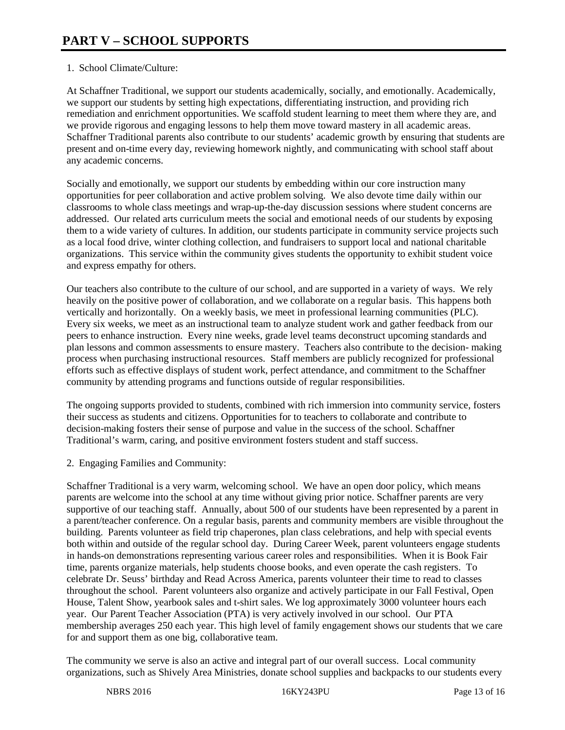# 1. School Climate/Culture:

At Schaffner Traditional, we support our students academically, socially, and emotionally. Academically, we support our students by setting high expectations, differentiating instruction, and providing rich remediation and enrichment opportunities. We scaffold student learning to meet them where they are, and we provide rigorous and engaging lessons to help them move toward mastery in all academic areas. Schaffner Traditional parents also contribute to our students' academic growth by ensuring that students are present and on-time every day, reviewing homework nightly, and communicating with school staff about any academic concerns.

Socially and emotionally, we support our students by embedding within our core instruction many opportunities for peer collaboration and active problem solving. We also devote time daily within our classrooms to whole class meetings and wrap-up-the-day discussion sessions where student concerns are addressed. Our related arts curriculum meets the social and emotional needs of our students by exposing them to a wide variety of cultures. In addition, our students participate in community service projects such as a local food drive, winter clothing collection, and fundraisers to support local and national charitable organizations. This service within the community gives students the opportunity to exhibit student voice and express empathy for others.

Our teachers also contribute to the culture of our school, and are supported in a variety of ways. We rely heavily on the positive power of collaboration, and we collaborate on a regular basis. This happens both vertically and horizontally. On a weekly basis, we meet in professional learning communities (PLC). Every six weeks, we meet as an instructional team to analyze student work and gather feedback from our peers to enhance instruction. Every nine weeks, grade level teams deconstruct upcoming standards and plan lessons and common assessments to ensure mastery. Teachers also contribute to the decision- making process when purchasing instructional resources. Staff members are publicly recognized for professional efforts such as effective displays of student work, perfect attendance, and commitment to the Schaffner community by attending programs and functions outside of regular responsibilities.

The ongoing supports provided to students, combined with rich immersion into community service, fosters their success as students and citizens. Opportunities for to teachers to collaborate and contribute to decision-making fosters their sense of purpose and value in the success of the school. Schaffner Traditional's warm, caring, and positive environment fosters student and staff success.

2. Engaging Families and Community:

Schaffner Traditional is a very warm, welcoming school. We have an open door policy, which means parents are welcome into the school at any time without giving prior notice. Schaffner parents are very supportive of our teaching staff. Annually, about 500 of our students have been represented by a parent in a parent/teacher conference. On a regular basis, parents and community members are visible throughout the building. Parents volunteer as field trip chaperones, plan class celebrations, and help with special events both within and outside of the regular school day. During Career Week, parent volunteers engage students in hands-on demonstrations representing various career roles and responsibilities. When it is Book Fair time, parents organize materials, help students choose books, and even operate the cash registers. To celebrate Dr. Seuss' birthday and Read Across America, parents volunteer their time to read to classes throughout the school. Parent volunteers also organize and actively participate in our Fall Festival, Open House, Talent Show, yearbook sales and t-shirt sales. We log approximately 3000 volunteer hours each year. Our Parent Teacher Association (PTA) is very actively involved in our school. Our PTA membership averages 250 each year. This high level of family engagement shows our students that we care for and support them as one big, collaborative team.

The community we serve is also an active and integral part of our overall success. Local community organizations, such as Shively Area Ministries, donate school supplies and backpacks to our students every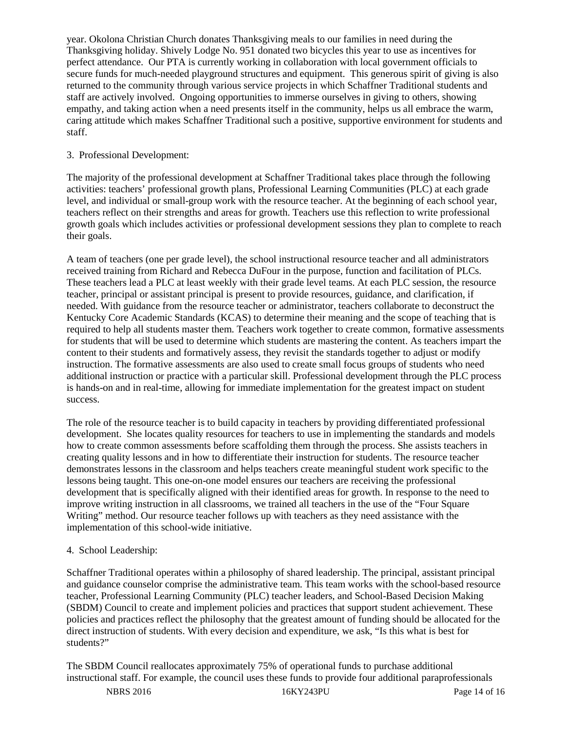year. Okolona Christian Church donates Thanksgiving meals to our families in need during the Thanksgiving holiday. Shively Lodge No. 951 donated two bicycles this year to use as incentives for perfect attendance. Our PTA is currently working in collaboration with local government officials to secure funds for much-needed playground structures and equipment. This generous spirit of giving is also returned to the community through various service projects in which Schaffner Traditional students and staff are actively involved. Ongoing opportunities to immerse ourselves in giving to others, showing empathy, and taking action when a need presents itself in the community, helps us all embrace the warm, caring attitude which makes Schaffner Traditional such a positive, supportive environment for students and staff.

# 3. Professional Development:

The majority of the professional development at Schaffner Traditional takes place through the following activities: teachers' professional growth plans, Professional Learning Communities (PLC) at each grade level, and individual or small-group work with the resource teacher. At the beginning of each school year, teachers reflect on their strengths and areas for growth. Teachers use this reflection to write professional growth goals which includes activities or professional development sessions they plan to complete to reach their goals.

A team of teachers (one per grade level), the school instructional resource teacher and all administrators received training from Richard and Rebecca DuFour in the purpose, function and facilitation of PLCs. These teachers lead a PLC at least weekly with their grade level teams. At each PLC session, the resource teacher, principal or assistant principal is present to provide resources, guidance, and clarification, if needed. With guidance from the resource teacher or administrator, teachers collaborate to deconstruct the Kentucky Core Academic Standards (KCAS) to determine their meaning and the scope of teaching that is required to help all students master them. Teachers work together to create common, formative assessments for students that will be used to determine which students are mastering the content. As teachers impart the content to their students and formatively assess, they revisit the standards together to adjust or modify instruction. The formative assessments are also used to create small focus groups of students who need additional instruction or practice with a particular skill. Professional development through the PLC process is hands-on and in real-time, allowing for immediate implementation for the greatest impact on student success.

The role of the resource teacher is to build capacity in teachers by providing differentiated professional development. She locates quality resources for teachers to use in implementing the standards and models how to create common assessments before scaffolding them through the process. She assists teachers in creating quality lessons and in how to differentiate their instruction for students. The resource teacher demonstrates lessons in the classroom and helps teachers create meaningful student work specific to the lessons being taught. This one-on-one model ensures our teachers are receiving the professional development that is specifically aligned with their identified areas for growth. In response to the need to improve writing instruction in all classrooms, we trained all teachers in the use of the "Four Square Writing" method. Our resource teacher follows up with teachers as they need assistance with the implementation of this school-wide initiative.

# 4. School Leadership:

Schaffner Traditional operates within a philosophy of shared leadership. The principal, assistant principal and guidance counselor comprise the administrative team. This team works with the school-based resource teacher, Professional Learning Community (PLC) teacher leaders, and School-Based Decision Making (SBDM) Council to create and implement policies and practices that support student achievement. These policies and practices reflect the philosophy that the greatest amount of funding should be allocated for the direct instruction of students. With every decision and expenditure, we ask, "Is this what is best for students?"

The SBDM Council reallocates approximately 75% of operational funds to purchase additional instructional staff. For example, the council uses these funds to provide four additional paraprofessionals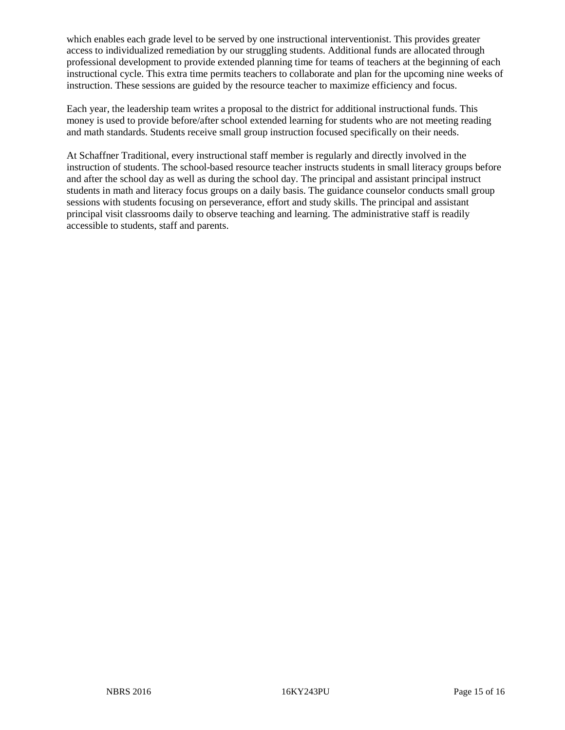which enables each grade level to be served by one instructional interventionist. This provides greater access to individualized remediation by our struggling students. Additional funds are allocated through professional development to provide extended planning time for teams of teachers at the beginning of each instructional cycle. This extra time permits teachers to collaborate and plan for the upcoming nine weeks of instruction. These sessions are guided by the resource teacher to maximize efficiency and focus.

Each year, the leadership team writes a proposal to the district for additional instructional funds. This money is used to provide before/after school extended learning for students who are not meeting reading and math standards. Students receive small group instruction focused specifically on their needs.

At Schaffner Traditional, every instructional staff member is regularly and directly involved in the instruction of students. The school-based resource teacher instructs students in small literacy groups before and after the school day as well as during the school day. The principal and assistant principal instruct students in math and literacy focus groups on a daily basis. The guidance counselor conducts small group sessions with students focusing on perseverance, effort and study skills. The principal and assistant principal visit classrooms daily to observe teaching and learning. The administrative staff is readily accessible to students, staff and parents.